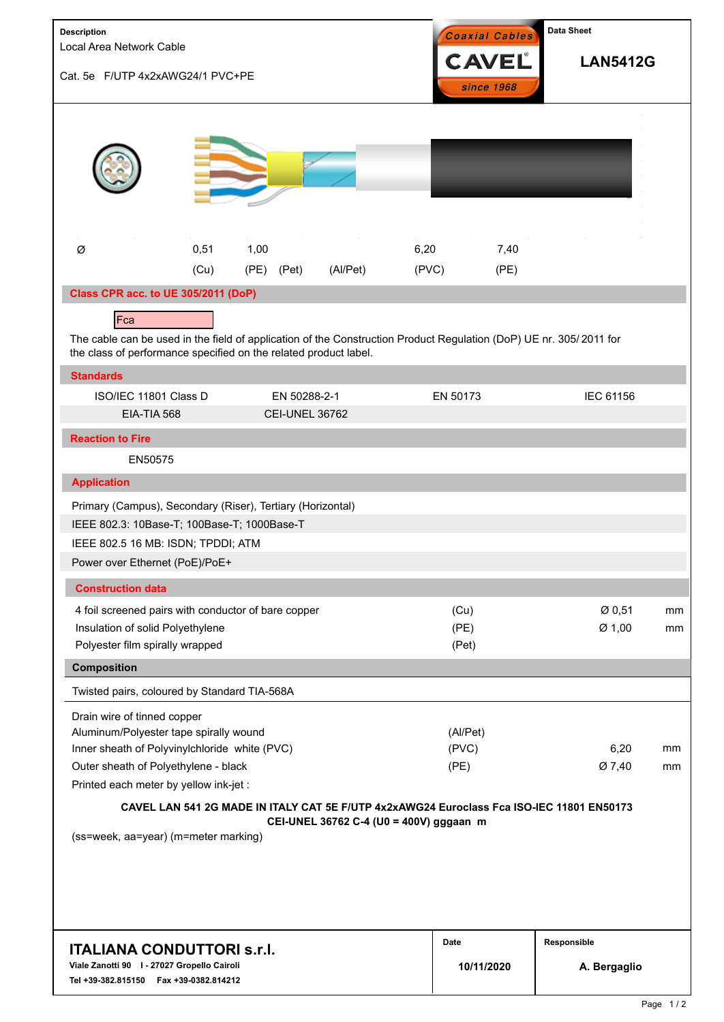| Description<br>Local Area Network Cable<br>Cat. 5e F/UTP 4x2xAWG24/1 PVC+PE                                                                                                                                                                                                                           |              |                       |                                         |               | Coaxial Cables<br><b>CAVEL</b><br>since 1968 |              | <b>Data Sheet</b><br><b>LAN5412G</b> |          |  |
|-------------------------------------------------------------------------------------------------------------------------------------------------------------------------------------------------------------------------------------------------------------------------------------------------------|--------------|-----------------------|-----------------------------------------|---------------|----------------------------------------------|--------------|--------------------------------------|----------|--|
|                                                                                                                                                                                                                                                                                                       |              |                       |                                         |               |                                              |              |                                      |          |  |
| Ø                                                                                                                                                                                                                                                                                                     | 0,51<br>(Cu) | 1,00<br>(PE)<br>(Pet) | (Al/Pet)                                | 6,20<br>(PVC) |                                              | 7,40<br>(PE) |                                      |          |  |
| Class CPR acc. to UE 305/2011 (DoP)                                                                                                                                                                                                                                                                   |              |                       |                                         |               |                                              |              |                                      |          |  |
| Fca                                                                                                                                                                                                                                                                                                   |              |                       |                                         |               |                                              |              |                                      |          |  |
| The cable can be used in the field of application of the Construction Product Regulation (DoP) UE nr. 305/2011 for<br>the class of performance specified on the related product label.                                                                                                                |              |                       |                                         |               |                                              |              |                                      |          |  |
| <b>Standards</b>                                                                                                                                                                                                                                                                                      |              |                       |                                         |               |                                              |              |                                      |          |  |
| ISO/IEC 11801 Class D                                                                                                                                                                                                                                                                                 |              |                       | EN 50288-2-1                            |               | EN 50173                                     |              | IEC 61156                            |          |  |
| EIA-TIA 568                                                                                                                                                                                                                                                                                           |              |                       | <b>CEI-UNEL 36762</b>                   |               |                                              |              |                                      |          |  |
| <b>Reaction to Fire</b>                                                                                                                                                                                                                                                                               |              |                       |                                         |               |                                              |              |                                      |          |  |
| EN50575                                                                                                                                                                                                                                                                                               |              |                       |                                         |               |                                              |              |                                      |          |  |
| <b>Application</b>                                                                                                                                                                                                                                                                                    |              |                       |                                         |               |                                              |              |                                      |          |  |
| Primary (Campus), Secondary (Riser), Tertiary (Horizontal)<br>IEEE 802.3: 10Base-T; 100Base-T; 1000Base-T<br>IEEE 802.5 16 MB: ISDN; TPDDI; ATM<br>Power over Ethernet (PoE)/PoE+                                                                                                                     |              |                       |                                         |               |                                              |              |                                      |          |  |
| <b>Construction data</b>                                                                                                                                                                                                                                                                              |              |                       |                                         |               |                                              |              |                                      |          |  |
| 4 foil screened pairs with conductor of bare copper<br>Insulation of solid Polyethylene<br>Polyester film spirally wrapped<br><b>Composition</b>                                                                                                                                                      |              |                       |                                         |               | (Cu)<br>(PE)<br>(Pet)                        |              | Ø 0,51<br>Ø 1,00                     | mm<br>mm |  |
| Twisted pairs, coloured by Standard TIA-568A                                                                                                                                                                                                                                                          |              |                       |                                         |               |                                              |              |                                      |          |  |
| Drain wire of tinned copper<br>Aluminum/Polyester tape spirally wound<br>Inner sheath of Polyvinylchloride white (PVC)<br>Outer sheath of Polyethylene - black<br>Printed each meter by yellow ink-jet :<br>CAVEL LAN 541 2G MADE IN ITALY CAT 5E F/UTP 4x2xAWG24 Euroclass Fca ISO-IEC 11801 EN50173 |              |                       |                                         |               | (Al/Pet)<br>(PVC)<br>(PE)                    |              | 6,20<br>mm<br>Ø 7,40<br>mm           |          |  |
| (ss=week, aa=year) (m=meter marking)                                                                                                                                                                                                                                                                  |              |                       | CEI-UNEL 36762 C-4 (U0 = 400V) gggaan m |               |                                              |              |                                      |          |  |
|                                                                                                                                                                                                                                                                                                       |              |                       |                                         |               | Date                                         |              | Responsible                          |          |  |
| <b>ITALIANA CONDUTTORI S.r.I.</b><br>Viale Zanotti 90   - 27027 Gropello Cairoli<br>Tel +39-382.815150    Fax +39-0382.814212                                                                                                                                                                         |              | 10/11/2020            |                                         | A. Bergaglio  |                                              |              |                                      |          |  |